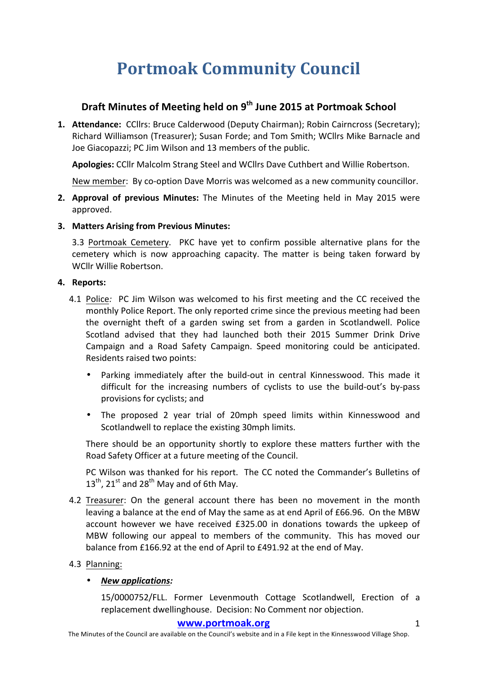# **Portmoak Community Council**

# **Draft Minutes of Meeting held on 9th June 2015 at Portmoak School**

1. **Attendance:** CCllrs: Bruce Calderwood (Deputy Chairman); Robin Cairncross (Secretary); Richard Williamson (Treasurer); Susan Forde; and Tom Smith; WCllrs Mike Barnacle and Joe Giacopazzi: PC Jim Wilson and 13 members of the public.

**Apologies:** CCllr Malcolm Strang Steel and WCllrs Dave Cuthbert and Willie Robertson.

New member: By co-option Dave Morris was welcomed as a new community councillor.

- **2. Approval of previous Minutes:** The Minutes of the Meeting held in May 2015 were approved.
- **3. Matters Arising from Previous Minutes:**

3.3 Portmoak Cemetery. PKC have yet to confirm possible alternative plans for the cemetery which is now approaching capacity. The matter is being taken forward by WCllr Willie Robertson.

#### **4.** Reports:

- 4.1 Police: PC Jim Wilson was welcomed to his first meeting and the CC received the monthly Police Report. The only reported crime since the previous meeting had been the overnight theft of a garden swing set from a garden in Scotlandwell. Police Scotland advised that they had launched both their 2015 Summer Drink Drive Campaign and a Road Safety Campaign. Speed monitoring could be anticipated. Residents raised two points:
	- Parking immediately after the build-out in central Kinnesswood. This made it difficult for the increasing numbers of cyclists to use the build-out's by-pass provisions for cyclists; and
	- The proposed 2 year trial of 20mph speed limits within Kinnesswood and Scotlandwell to replace the existing 30mph limits.

There should be an opportunity shortly to explore these matters further with the Road Safety Officer at a future meeting of the Council.

PC Wilson was thanked for his report. The CC noted the Commander's Bulletins of  $13^{th}$ , 21<sup>st</sup> and 28<sup>th</sup> May and of 6th May.

- 4.2 Treasurer: On the general account there has been no movement in the month leaving a balance at the end of May the same as at end April of £66.96. On the MBW account however we have received £325.00 in donations towards the upkeep of MBW following our appeal to members of the community. This has moved our balance from £166.92 at the end of April to £491.92 at the end of May.
- 4.3 Planning:

## • *New applications:*

15/0000752/FLL. Former Levenmouth Cottage Scotlandwell, Erection of a replacement dwellinghouse. Decision: No Comment nor objection.

#### **www.portmoak.org** 1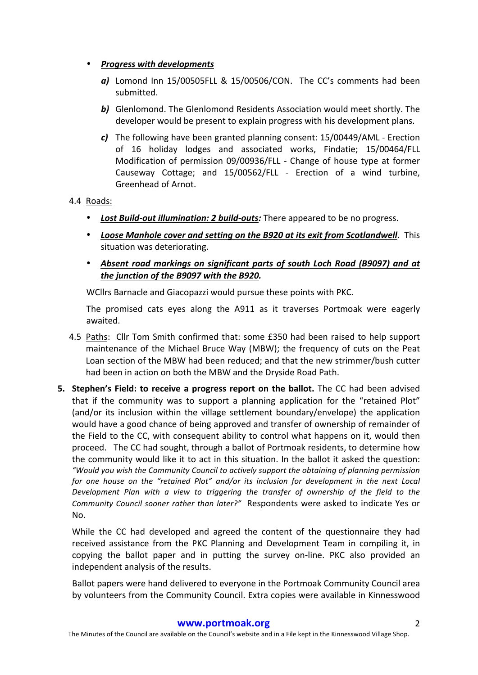- *Progress with developments* 
	- *a*) Lomond Inn 15/00505FLL & 15/00506/CON. The CC's comments had been submitted.
	- **b)** Glenlomond. The Glenlomond Residents Association would meet shortly. The developer would be present to explain progress with his development plans.
	- *c*) The following have been granted planning consent: 15/00449/AML Erection of 16 holiday lodges and associated works, Findatie; 15/00464/FLL Modification of permission 09/00936/FLL - Change of house type at former Causeway Cottage: and 15/00562/FLL - Erection of a wind turbine. Greenhead of Arnot.

## 4.4 Roads:

- Lost Build-out *illumination: 2 build-outs:* There appeared to be no progress.
- *Loose Manhole cover and setting on the B920 at its exit from Scotlandwell*. This situation was deteriorating.
- Absent road markings on significant parts of south Loch Road (B9097) and at *the junction of the B9097 with the B920.*

WCllrs Barnacle and Giacopazzi would pursue these points with PKC.

The promised cats eyes along the A911 as it traverses Portmoak were eagerly awaited.

- 4.5 Paths: Cllr Tom Smith confirmed that: some £350 had been raised to help support maintenance of the Michael Bruce Way (MBW); the frequency of cuts on the Peat Loan section of the MBW had been reduced; and that the new strimmer/bush cutter had been in action on both the MBW and the Dryside Road Path.
- **5.** Stephen's Field: to receive a progress report on the ballot. The CC had been advised that if the community was to support a planning application for the "retained Plot" (and/or its inclusion within the village settlement boundary/envelope) the application would have a good chance of being approved and transfer of ownership of remainder of the Field to the CC, with consequent ability to control what happens on it, would then proceed. The CC had sought, through a ballot of Portmoak residents, to determine how the community would like it to act in this situation. In the ballot it asked the question: *"Would you wish the Community Council to actively support the obtaining of planning permission*  for one house on the "retained Plot" and/or its inclusion for development in the next Local *Development Plan with a view to triggering the transfer of ownership of the field to the Community Council sooner rather than later?"* Respondents were asked to indicate Yes or No.

While the CC had developed and agreed the content of the questionnaire they had received assistance from the PKC Planning and Development Team in compiling it, in copying the ballot paper and in putting the survey on-line. PKC also provided an independent analysis of the results.

Ballot papers were hand delivered to everyone in the Portmoak Community Council area by volunteers from the Community Council. Extra copies were available in Kinnesswood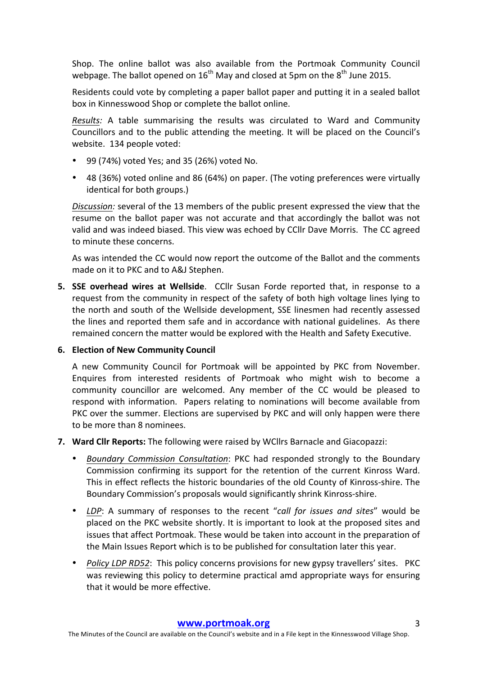Shop. The online ballot was also available from the Portmoak Community Council webpage. The ballot opened on  $16^{th}$  May and closed at 5pm on the  $8^{th}$  June 2015.

Residents could vote by completing a paper ballot paper and putting it in a sealed ballot box in Kinnesswood Shop or complete the ballot online.

*Results:* A table summarising the results was circulated to Ward and Community Councillors and to the public attending the meeting. It will be placed on the Council's website. 134 people voted:

- 99 (74%) voted Yes; and 35 (26%) voted No.
- 48 (36%) voted online and 86 (64%) on paper. (The voting preferences were virtually identical for both groups.)

*Discussion:* several of the 13 members of the public present expressed the view that the resume on the ballot paper was not accurate and that accordingly the ballot was not valid and was indeed biased. This view was echoed by CCIIr Dave Morris. The CC agreed to minute these concerns.

As was intended the CC would now report the outcome of the Ballot and the comments made on it to PKC and to A&J Stephen.

**5. SSE overhead wires at Wellside**. CCllr Susan Forde reported that, in response to a request from the community in respect of the safety of both high voltage lines lying to the north and south of the Wellside development, SSE linesmen had recently assessed the lines and reported them safe and in accordance with national guidelines. As there remained concern the matter would be explored with the Health and Safety Executive.

#### **6. Election of New Community Council**

A new Community Council for Portmoak will be appointed by PKC from November. Enquires from interested residents of Portmoak who might wish to become a community councillor are welcomed. Any member of the CC would be pleased to respond with information. Papers relating to nominations will become available from PKC over the summer. Elections are supervised by PKC and will only happen were there to be more than 8 nominees.

- **7.** Ward Cllr Reports: The following were raised by WCllrs Barnacle and Giacopazzi:
	- **Boundary Commission Consultation:** PKC had responded strongly to the Boundary Commission confirming its support for the retention of the current Kinross Ward. This in effect reflects the historic boundaries of the old County of Kinross-shire. The Boundary Commission's proposals would significantly shrink Kinross-shire.
	- LDP: A summary of responses to the recent "call for issues and sites" would be placed on the PKC website shortly. It is important to look at the proposed sites and issues that affect Portmoak. These would be taken into account in the preparation of the Main Issues Report which is to be published for consultation later this year.
	- *Policy LDP RD52*: This policy concerns provisions for new gypsy travellers' sites. PKC was reviewing this policy to determine practical amd appropriate ways for ensuring that it would be more effective.